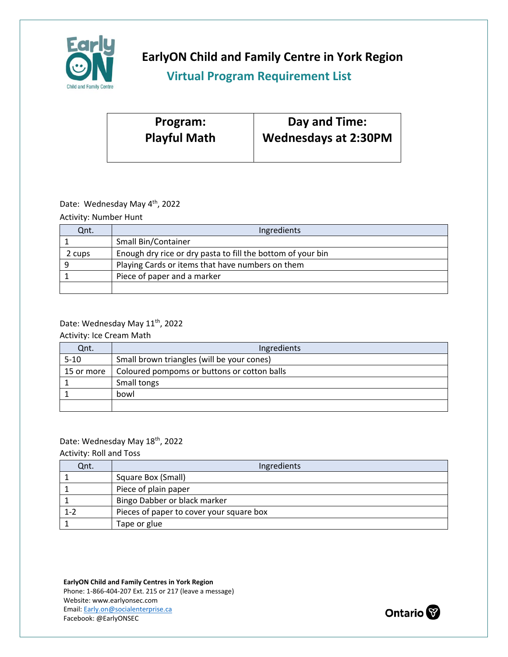

**EarlyON Child and Family Centre in York Region**

## **Virtual Program Requirement List**

| Program:            | Day and Time:               |
|---------------------|-----------------------------|
| <b>Playful Math</b> | <b>Wednesdays at 2:30PM</b> |
|                     |                             |

### Date: Wednesday May 4<sup>th</sup>, 2022

Activity: Number Hunt

| Ont.   | Ingredients                                                 |
|--------|-------------------------------------------------------------|
|        | Small Bin/Container                                         |
| 2 cups | Enough dry rice or dry pasta to fill the bottom of your bin |
|        | Playing Cards or items that have numbers on them            |
|        | Piece of paper and a marker                                 |
|        |                                                             |

## Date: Wednesday May 11<sup>th</sup>, 2022

Activity: Ice Cream Math

| Qnt.       | Ingredients                                 |
|------------|---------------------------------------------|
| $5 - 10$   | Small brown triangles (will be your cones)  |
| 15 or more | Coloured pompoms or buttons or cotton balls |
|            | Small tongs                                 |
|            | bowl                                        |
|            |                                             |

### Date: Wednesday May 18<sup>th</sup>, 2022

Activity: Roll and Toss

| Qnt.    | Ingredients                              |
|---------|------------------------------------------|
|         | Square Box (Small)                       |
|         | Piece of plain paper                     |
|         | Bingo Dabber or black marker             |
| $1 - 2$ | Pieces of paper to cover your square box |
|         | Tape or glue                             |

**EarlyON Child and Family Centres in York Region** Phone: 1-866-404-207 Ext. 215 or 217 (leave a message) Website: www.earlyonsec.com Email: [Early.on@socialenterprise.ca](mailto:Early.on@socialenterprise.ca) Facebook: @EarlyONSEC